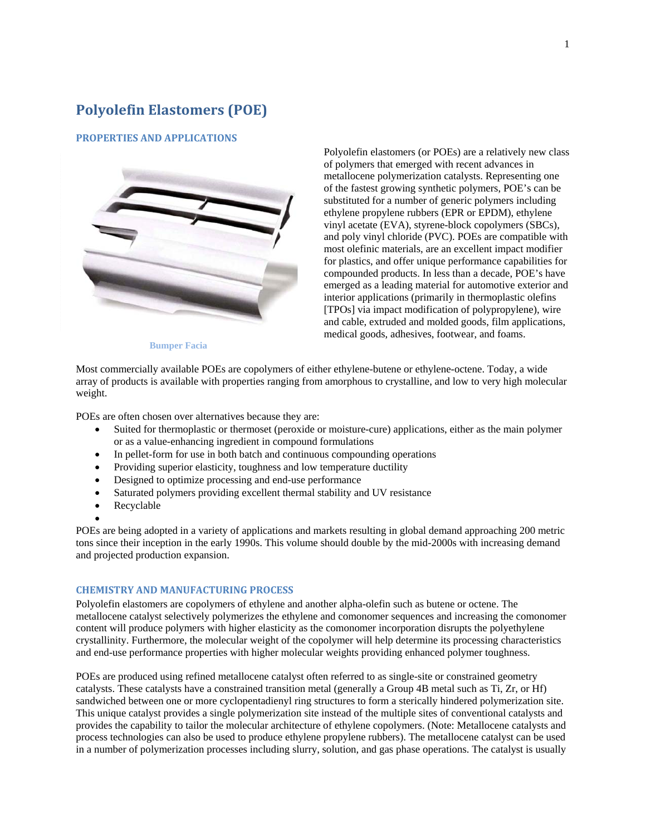# **Polyolefin Elastomers (POE)**

### **PROPERTIES AND APPLICATIONS**



Polyolefin elastomers (or POEs) are a relatively new class of polymers that emerged with recent advances in metallocene polymerization catalysts. Representing one of the fastest growing synthetic polymers, POE's can be substituted for a number of generic polymers including ethylene propylene rubbers (EPR or EPDM), ethylene vinyl acetate (EVA), styrene-block copolymers (SBCs), and poly vinyl chloride (PVC). POEs are compatible with most olefinic materials, are an excellent impact modifier for plastics, and offer unique performance capabilities for compounded products. In less than a decade, POE's have emerged as a leading material for automotive exterior and interior applications (primarily in thermoplastic olefins [TPOs] via impact modification of polypropylene), wire and cable, extruded and molded goods, film applications, medical goods, adhesives, footwear, and foams.

 **Bumper Facia** 

Most commercially available POEs are copolymers of either ethylene-butene or ethylene-octene. Today, a wide array of products is available with properties ranging from amorphous to crystalline, and low to very high molecular weight.

POEs are often chosen over alternatives because they are:

- Suited for thermoplastic or thermoset (peroxide or moisture-cure) applications, either as the main polymer or as a value-enhancing ingredient in compound formulations
- In pellet-form for use in both batch and continuous compounding operations
- Providing superior elasticity, toughness and low temperature ductility
- Designed to optimize processing and end-use performance
- Saturated polymers providing excellent thermal stability and UV resistance
- Recyclable
- $\bullet$

POEs are being adopted in a variety of applications and markets resulting in global demand approaching 200 metric tons since their inception in the early 1990s. This volume should double by the mid-2000s with increasing demand and projected production expansion.

## **CHEMISTRY AND MANUFACTURING PROCESS**

Polyolefin elastomers are copolymers of ethylene and another alpha-olefin such as butene or octene. The metallocene catalyst selectively polymerizes the ethylene and comonomer sequences and increasing the comonomer content will produce polymers with higher elasticity as the comonomer incorporation disrupts the polyethylene crystallinity. Furthermore, the molecular weight of the copolymer will help determine its processing characteristics and end-use performance properties with higher molecular weights providing enhanced polymer toughness.

POEs are produced using refined metallocene catalyst often referred to as single-site or constrained geometry catalysts. These catalysts have a constrained transition metal (generally a Group 4B metal such as Ti, Zr, or Hf) sandwiched between one or more cyclopentadienyl ring structures to form a sterically hindered polymerization site. This unique catalyst provides a single polymerization site instead of the multiple sites of conventional catalysts and provides the capability to tailor the molecular architecture of ethylene copolymers. (Note: Metallocene catalysts and process technologies can also be used to produce ethylene propylene rubbers). The metallocene catalyst can be used in a number of polymerization processes including slurry, solution, and gas phase operations. The catalyst is usually